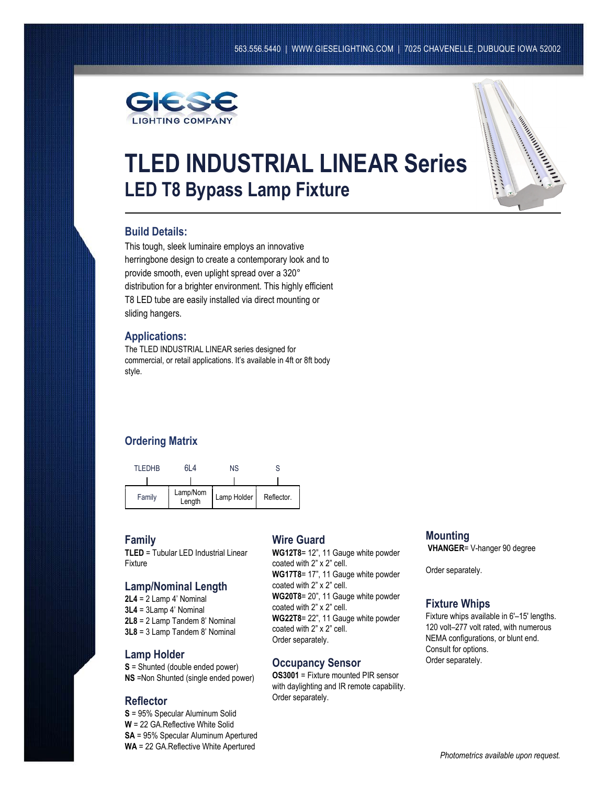

# **TLED INDUSTRIAL LINEAR Series LED T8 Bypass Lamp Fixture**



# **Build Details:**

This tough, sleek luminaire employs an innovative herringbone design to create a contemporary look and to provide smooth, even uplight spread over a 320° distribution for a brighter environment. This highly efficient T8 LED tube are easily installed via direct mounting or sliding hangers.

#### **Applications:**

The TLED INDUSTRIAL LINEAR series designed for commercial, or retail applications. It's available in 4ft or 8ft body style.

# **Ordering Matrix**



#### **Family**

**TLED** = Tubular LED Industrial Linear Fixture

# **Lamp/Nominal Length**

**2L4** = 2 Lamp 4' Nominal **3L4** = 3Lamp 4' Nominal **2L8** = 2 Lamp Tandem 8' Nominal **3L8** = 3 Lamp Tandem 8' Nominal

#### **Lamp Holder**

**S** = Shunted (double ended power) **NS** =Non Shunted (single ended power)

#### **Reflector**

**S** = 95% Specular Aluminum Solid **W** = 22 GA.Reflective White Solid **SA** = 95% Specular Aluminum Apertured **WA** = 22 GA.Reflective White Apertured

# **Wire Guard**

 **WG17T8**= 17", 11 Gauge white powder **WG22T8**= 22", 11 Gauge white powder **WG12T8**= 12", 11 Gauge white powder coated with 2" x 2" cell. coated with 2" x 2" cell. **WG20T8**= 20", 11 Gauge white powder coated with 2" x 2" cell. coated with 2" x 2" cell. Order separately.

#### **Occupancy Sensor**

**OS3001** = Fixture mounted PIR sensor with daylighting and IR remote capability. Order separately.

# **Mounting**

**VHANGER**= V-hanger 90 degree

Order separately.

#### **Fixture Whips**

Fixture whips available in 6'–15' lengths. 120 volt–277 volt rated, with numerous NEMA configurations, or blunt end. Consult for options. Order separately.